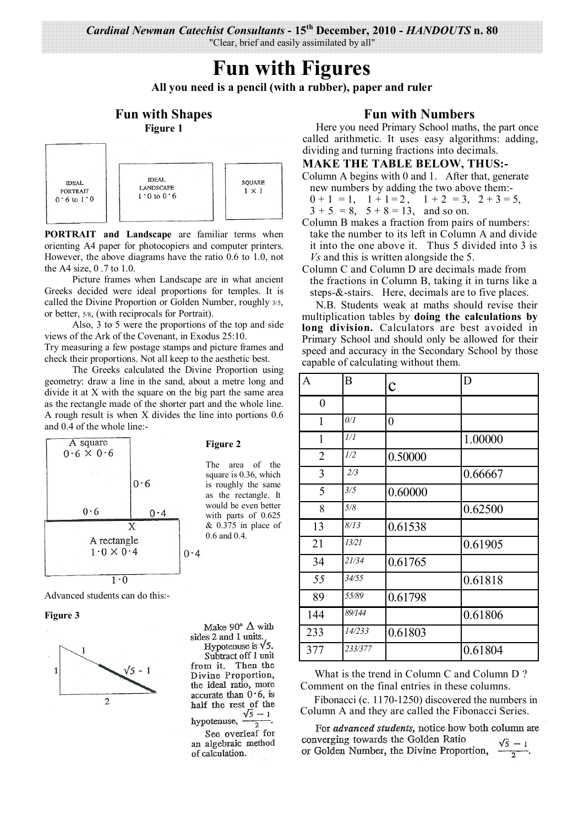# **Fun with Figures**

**All you need is a pencil (with a rubber), paper and ruler** 

## **Fun with Shapes Figure 1**



**PORTRAIT and Landscape** are familiar terms when orienting A4 paper for photocopiers and computer printers. However, the above diagrams have the ratio 0.6 to 1.0, not the A4 size, 0 .7 to 1.0.

 Picture frames when Landscape are in what ancient Greeks decided were ideal proportions for temples. It is called the Divine Proportion or Golden Number, roughly 3/5, or better, 5/8, (with reciprocals for Portrait).

 Also, 3 to 5 were the proportions of the top and side views of the Ark of the Covenant, in Exodus 25:10. Try measuring a few postage stamps and picture frames and

check their proportions. Not all keep to the aesthetic best.

 The Greeks calculated the Divine Proportion using geometry: draw a line in the sand, about a metre long and divide it at X with the square on the big part the same area as the rectangle made of the shorter part and the whole line. A rough result is when X divides the line into portions 0.6 and 0.4 of the whole line:-



Advanced students can do this:-

**Figure 3** 



#### **Figure 2**

The area of the square is 0.36, which is roughly the same as the rectangle. It would be even better with parts of 0.625  $& 0.375$  in place of 0.6 and 0.4.

Make 90 $\textdegree$   $\Delta$  with sides 2 and 1 units. Hypotenuse is  $\sqrt{5}$ . Subtract off 1 unit from it. Then the Divine Proportion, the ideal ratio, more accurate than  $0.6$ , is half the rest of the hypotenuse,  $\frac{\sqrt{5}-1}{2}$ . See overleaf for

an algebraic method of calculation.

### **Fun with Numbers**

Here you need Primary School maths, the part once called arithmetic. It uses easy algorithms: adding, dividing and turning fractions into decimals.

#### **MAKE THE TABLE BELOW, THUS:-**

Column A begins with 0 and 1. After that, generate new numbers by adding the two above them:-

 $0 + 1 = 1$ ,  $1 + 1 = 2$ ,  $1 + 2 = 3$ ,  $2 + 3 = 5$ ,

 $3 + 5 = 8$ ,  $5 + 8 = 13$ , and so on.

Column B makes a fraction from pairs of numbers: take the number to its left in Column A and divide it into the one above it. Thus 5 divided into 3 is *Vs* and this is written alongside the 5.

#### Column C and Column D are decimals made from the fractions in Column B, taking it in turns like a steps-&-stairs. Here, decimals are to five places.

N.B. Students weak at maths should revise their multiplication tables by **doing the calculations by long division.** Calculators are best avoided in Primary School and should only be allowed for their speed and accuracy in the Secondary School by those capable of calculating without them.

| A              | B       | $\overline{C}$ | D       |
|----------------|---------|----------------|---------|
| $\overline{0}$ |         |                |         |
| 1              | 0/1     | 0              |         |
| $\mathbf{1}$   | 1/I     |                | 1.00000 |
| $\overline{2}$ | 1/2     | 0.50000        |         |
| 3              | 2/3     |                | 0.66667 |
| 5              | 3/5     | 0.60000        |         |
| 8              | 5/8     |                | 0.62500 |
| 13             | 8/13    | 0.61538        |         |
| 21             | 13/21   |                | 0.61905 |
| 34             | 21/34   | 0.61765        |         |
| 55             | 34/55   |                | 0.61818 |
| 89             | 55/89   | 0.61798        |         |
| 144            | 89/144  |                | 0.61806 |
| 233            | 14/233  | 0.61803        |         |
| 377            | 233/377 |                | 0.61804 |

What is the trend in Column C and Column D ? Comment on the final entries in these columns.

Fibonacci (c. 1170-1250) discovered the numbers in Column A and they are called the Fibonacci Series.

For advanced students, notice how both column are converging towards the Golden Ratio or Golden Number, the Divine Proportion,